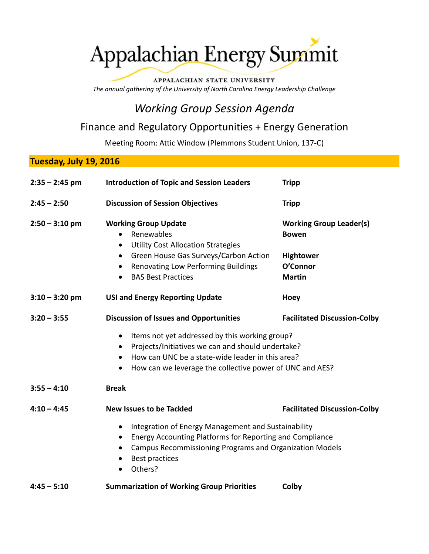# Appalachian Energy Summit

APPALACHIAN STATE UNIVERSITY *The annual gathering of the University of North Carolina Energy Leadership Challenge*

## *Working Group Session Agenda*

### Finance and Regulatory Opportunities + Energy Generation

Meeting Room: Attic Window (Plemmons Student Union, 137‐C)

#### **Tuesday, July 19, 2016**

| $2:35 - 2:45$ pm | <b>Introduction of Topic and Session Leaders</b>                                                                                                                                                                                                                                                                                                          | <b>Tripp</b>                                                                                    |
|------------------|-----------------------------------------------------------------------------------------------------------------------------------------------------------------------------------------------------------------------------------------------------------------------------------------------------------------------------------------------------------|-------------------------------------------------------------------------------------------------|
| $2:45 - 2:50$    | <b>Discussion of Session Objectives</b>                                                                                                                                                                                                                                                                                                                   | <b>Tripp</b>                                                                                    |
| $2:50 - 3:10$ pm | <b>Working Group Update</b><br>Renewables<br>$\bullet$<br><b>Utility Cost Allocation Strategies</b><br>$\bullet$<br>Green House Gas Surveys/Carbon Action<br>$\bullet$<br>Renovating Low Performing Buildings<br>$\bullet$<br><b>BAS Best Practices</b><br>$\bullet$                                                                                      | <b>Working Group Leader(s)</b><br><b>Bowen</b><br><b>Hightower</b><br>O'Connor<br><b>Martin</b> |
| $3:10 - 3:20$ pm | <b>USI and Energy Reporting Update</b>                                                                                                                                                                                                                                                                                                                    | <b>Hoey</b>                                                                                     |
| $3:20 - 3:55$    | <b>Discussion of Issues and Opportunities</b><br>Items not yet addressed by this working group?<br>$\bullet$<br>Projects/Initiatives we can and should undertake?<br>$\bullet$<br>How can UNC be a state-wide leader in this area?<br>$\bullet$<br>How can we leverage the collective power of UNC and AES?<br>$\bullet$                                  | <b>Facilitated Discussion-Colby</b>                                                             |
| $3:55 - 4:10$    | <b>Break</b>                                                                                                                                                                                                                                                                                                                                              |                                                                                                 |
| $4:10 - 4:45$    | <b>New Issues to be Tackled</b><br><b>Facilitated Discussion-Colby</b><br>Integration of Energy Management and Sustainability<br>$\bullet$<br>Energy Accounting Platforms for Reporting and Compliance<br>$\bullet$<br>Campus Recommissioning Programs and Organization Models<br>$\bullet$<br><b>Best practices</b><br>$\bullet$<br>Others?<br>$\bullet$ |                                                                                                 |
| $4:45 - 5:10$    | <b>Summarization of Working Group Priorities</b>                                                                                                                                                                                                                                                                                                          | Colby                                                                                           |